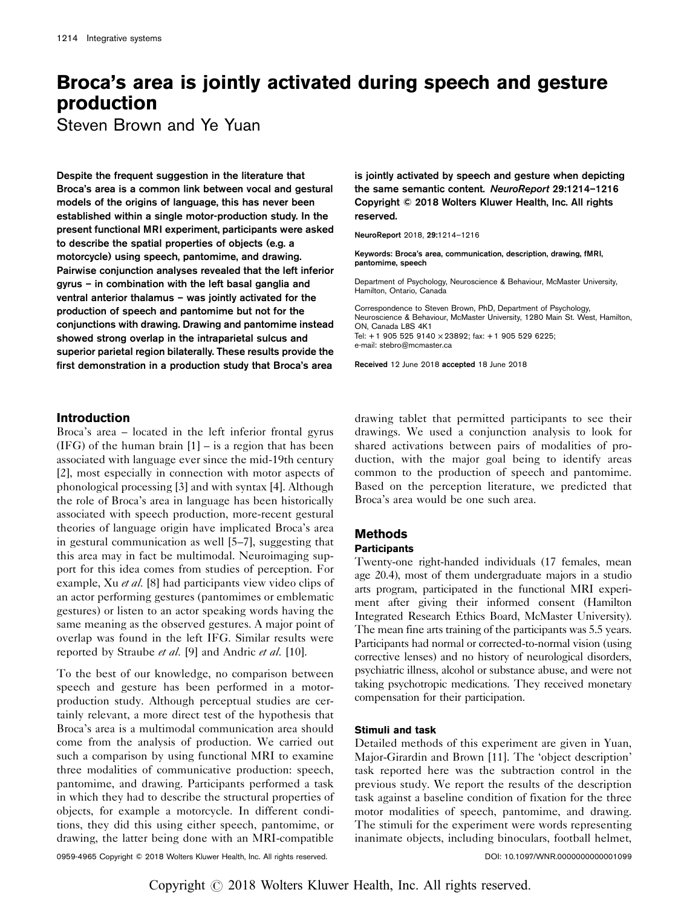# Broca's area is jointly activated during speech and gesture production

Steven Brown and Ye Yuan

Despite the frequent suggestion in the literature that Broca's area is a common link between vocal and gestural models of the origins of language, this has never been established within a single motor-production study. In the present functional MRI experiment, participants were asked to describe the spatial properties of objects (e.g. a motorcycle) using speech, pantomime, and drawing. Pairwise conjunction analyses revealed that the left inferior gyrus – in combination with the left basal ganglia and ventral anterior thalamus – was jointly activated for the production of speech and pantomime but not for the conjunctions with drawing. Drawing and pantomime instead showed strong overlap in the intraparietal sulcus and superior parietal region bilaterally. These results provide the first demonstration in a production study that Broca's area

is jointly activated by speech and gesture when depicting the same semantic content. NeuroReport 29:1214–1216 Copyright © 2018 Wolters Kluwer Health, Inc. All rights reserved.

NeuroReport 2018, 29:1214–1216

Keywords: Broca's area, communication, description, drawing, fMRI, pantomime, speech

Department of Psychology, Neuroscience & Behaviour, McMaster University, Hamilton, Ontario, Canada

Correspondence to Steven Brown, PhD, Department of Psychology, Neuroscience & Behaviour, McMaster University, 1280 Main St. West, Hamilton, ON, Canada L8S 4K1 Tel: + 1 905 525 9140 × 23892; fax: + 1 905 529 6225; e-mail: [stebro@mcmaster.ca](mailto:stebro@mcmaster.ca)

Received 12 June 2018 accepted 18 June 2018

## Introduction

Broca's area – located in the left inferior frontal gyrus  $(IFG)$  of the human brain  $[1]$  – is a region that has been associated with language ever since the mid-19th century [\[2\]](#page-2-0), most especially in connection with motor aspects of phonological processing [\[3\]](#page-2-0) and with syntax [\[4\]](#page-2-0). Although the role of Broca's area in language has been historically associated with speech production, more-recent gestural theories of language origin have implicated Broca's area in gestural communication as well [\[5](#page-2-0)–7], suggesting that this area may in fact be multimodal. Neuroimaging support for this idea comes from studies of perception. For example, Xu *et al.* [\[8\]](#page-2-0) had participants view video clips of an actor performing gestures (pantomimes or emblematic gestures) or listen to an actor speaking words having the same meaning as the observed gestures. A major point of overlap was found in the left IFG. Similar results were reported by Straube *et al.* [\[9\]](#page-2-0) and Andric *et al.* [\[10](#page-2-0)].

To the best of our knowledge, no comparison between speech and gesture has been performed in a motorproduction study. Although perceptual studies are certainly relevant, a more direct test of the hypothesis that Broca's area is a multimodal communication area should come from the analysis of production. We carried out such a comparison by using functional MRI to examine three modalities of communicative production: speech, pantomime, and drawing. Participants performed a task in which they had to describe the structural properties of objects, for example a motorcycle. In different conditions, they did this using either speech, pantomime, or drawing, the latter being done with an MRI-compatible drawing tablet that permitted participants to see their drawings. We used a conjunction analysis to look for shared activations between pairs of modalities of production, with the major goal being to identify areas common to the production of speech and pantomime. Based on the perception literature, we predicted that Broca's area would be one such area.

# Methods

## **Participants**

Twenty-one right-handed individuals (17 females, mean age 20.4), most of them undergraduate majors in a studio arts program, participated in the functional MRI experiment after giving their informed consent (Hamilton Integrated Research Ethics Board, McMaster University). The mean fine arts training of the participants was 5.5 years. Participants had normal or corrected-to-normal vision (using corrective lenses) and no history of neurological disorders, psychiatric illness, alcohol or substance abuse, and were not taking psychotropic medications. They received monetary compensation for their participation.

#### Stimuli and task

Detailed methods of this experiment are given in Yuan, Major-Girardin and Brown [\[11\]](#page-2-0). The 'object description' task reported here was the subtraction control in the previous study. We report the results of the description task against a baseline condition of fixation for the three motor modalities of speech, pantomime, and drawing. The stimuli for the experiment were words representing inanimate objects, including binoculars, football helmet,

0959-4965 Copyright © 2018 Wolters Kluwer Health, Inc. All rights reserved. DOI: 10.1097/WNR.0000000000001099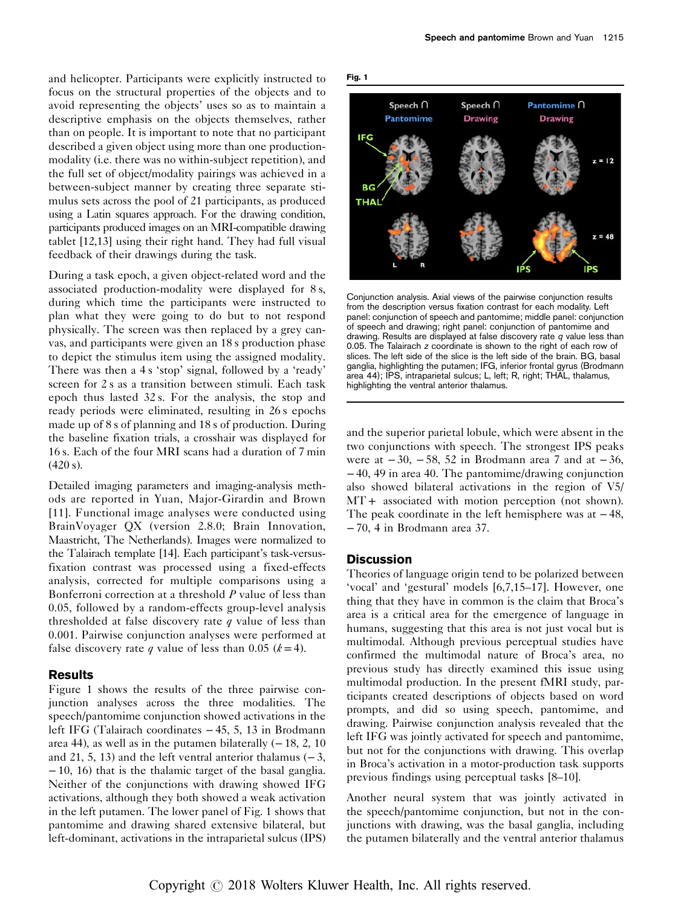and helicopter. Participants were explicitly instructed to focus on the structural properties of the objects and to avoid representing the objects' uses so as to maintain a descriptive emphasis on the objects themselves, rather than on people. It is important to note that no participant described a given object using more than one productionmodality (i.e. there was no within-subject repetition), and the full set of object/modality pairings was achieved in a between-subject manner by creating three separate stimulus sets across the pool of 21 participants, as produced using a Latin squares approach. For the drawing condition, participants produced images on an MRI-compatible drawing tablet [\[12,13\]](#page-2-0) using their right hand. They had full visual feedback of their drawings during the task.

During a task epoch, a given object-related word and the associated production-modality were displayed for 8 s, during which time the participants were instructed to plan what they were going to do but to not respond physically. The screen was then replaced by a grey canvas, and participants were given an 18 s production phase to depict the stimulus item using the assigned modality. There was then a 4 s 'stop' signal, followed by a 'ready' screen for 2 s as a transition between stimuli. Each task epoch thus lasted 32 s. For the analysis, the stop and ready periods were eliminated, resulting in 26 s epochs made up of 8 s of planning and 18 s of production. During the baseline fixation trials, a crosshair was displayed for 16 s. Each of the four MRI scans had a duration of 7 min (420 s).

Detailed imaging parameters and imaging-analysis methods are reported in Yuan, Major-Girardin and Brown [\[11\]](#page-2-0). Functional image analyses were conducted using BrainVoyager QX (version 2.8.0; Brain Innovation, Maastricht, The Netherlands). Images were normalized to the Talairach template [\[14\]](#page-2-0). Each participant's task-versusfixation contrast was processed using a fixed-effects analysis, corrected for multiple comparisons using a Bonferroni correction at a threshold P value of less than 0.05, followed by a random-effects group-level analysis thresholded at false discovery rate  $q$  value of less than 0.001. Pairwise conjunction analyses were performed at false discovery rate q value of less than 0.05 ( $k = 4$ ).

## Results

Figure 1 shows the results of the three pairwise conjunction analyses across the three modalities. The speech/pantomime conjunction showed activations in the left IFG (Talairach coordinates − 45, 5, 13 in Brodmann area 44), as well as in the putamen bilaterally  $(-18, 2, 10)$ and 21, 5, 13) and the left ventral anterior thalamus  $(-3, 1)$ − 10, 16) that is the thalamic target of the basal ganglia. Neither of the conjunctions with drawing showed IFG activations, although they both showed a weak activation in the left putamen. The lower panel of Fig. 1 shows that pantomime and drawing shared extensive bilateral, but left-dominant, activations in the intraparietal sulcus (IPS)



Conjunction analysis. Axial views of the pairwise conjunction results from the description versus fixation contrast for each modality. Left panel: conjunction of speech and pantomime; middle panel: conjunction of speech and drawing; right panel: conjunction of pantomime and drawing. Results are displayed at false discovery rate  $q$  value less than 0.05. The Talairach z coordinate is shown to the right of each row of slices. The left side of the slice is the left side of the brain. BG, basal ganglia, highlighting the putamen; IFG, inferior frontal gyrus (Brodmann area 44); IPS, intraparietal sulcus; L, left; R, right; THAL, thalamus, highlighting the ventral anterior thalamus.

and the superior parietal lobule, which were absent in the two conjunctions with speech. The strongest IPS peaks were at  $-30$ ,  $-58$ , 52 in Brodmann area 7 and at  $-36$ , −40, 49 in area 40. The pantomime/drawing conjunction also showed bilateral activations in the region of V5/ MT + associated with motion perception (not shown). The peak coordinate in the left hemisphere was at  $-48$ , −70, 4 in Brodmann area 37.

#### **Discussion**

Theories of language origin tend to be polarized between 'vocal' and 'gestural' models [\[6,7,15](#page-2-0)–17]. However, one thing that they have in common is the claim that Broca's area is a critical area for the emergence of language in humans, suggesting that this area is not just vocal but is multimodal. Although previous perceptual studies have confirmed the multimodal nature of Broca's area, no previous study has directly examined this issue using multimodal production. In the present fMRI study, participants created descriptions of objects based on word prompts, and did so using speech, pantomime, and drawing. Pairwise conjunction analysis revealed that the left IFG was jointly activated for speech and pantomime, but not for the conjunctions with drawing. This overlap in Broca's activation in a motor-production task supports previous findings using perceptual tasks [8–[10\]](#page-2-0).

Another neural system that was jointly activated in the speech/pantomime conjunction, but not in the conjunctions with drawing, was the basal ganglia, including the putamen bilaterally and the ventral anterior thalamus